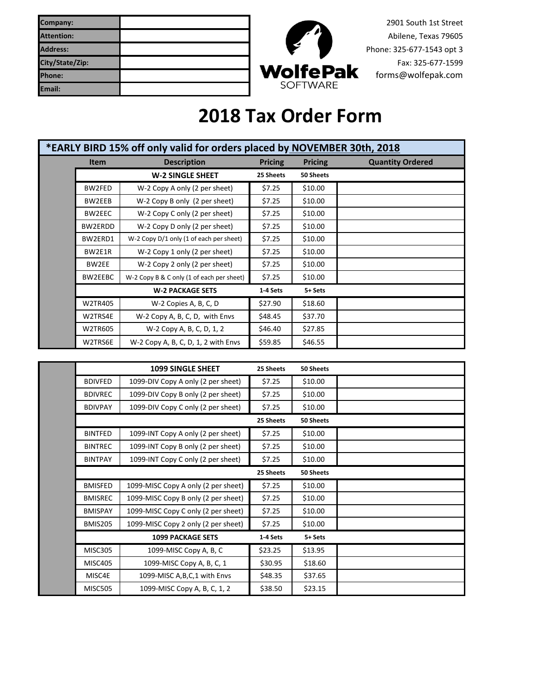| Company:          |                 | 2901 South 1st Street     |
|-------------------|-----------------|---------------------------|
| <b>Attention:</b> |                 | Abilene, Texas 79605      |
| Address:          |                 | Phone: 325-677-1543 opt 3 |
| City/State/Zip:   |                 | Fax: 325-677-1599         |
| <b>Phone:</b>     | <b>WolfePak</b> | forms@wolfepak.com        |
| Email:            | <b>SOFTWARE</b> |                           |



## **2018 Tax Order Form**

| *EARLY BIRD 15% off only valid for orders placed by NOVEMBER 30th, 2018 |             |                                           |                |                |                         |
|-------------------------------------------------------------------------|-------------|-------------------------------------------|----------------|----------------|-------------------------|
|                                                                         | <b>Item</b> | <b>Description</b>                        | <b>Pricing</b> | <b>Pricing</b> | <b>Quantity Ordered</b> |
|                                                                         |             | <b>W-2 SINGLE SHEET</b>                   | 25 Sheets      | 50 Sheets      |                         |
|                                                                         | BW2FED      | W-2 Copy A only (2 per sheet)             | \$7.25         | \$10.00        |                         |
|                                                                         | BW2EEB      | W-2 Copy B only (2 per sheet)             | \$7.25         | \$10.00        |                         |
|                                                                         | BW2EEC      | W-2 Copy C only (2 per sheet)             | \$7.25         | \$10.00        |                         |
|                                                                         | BW2ERDD     | W-2 Copy D only (2 per sheet)             | \$7.25         | \$10.00        |                         |
|                                                                         | BW2ERD1     | W-2 Copy D/1 only (1 of each per sheet)   | \$7.25         | \$10.00        |                         |
|                                                                         | BW2E1R      | W-2 Copy 1 only (2 per sheet)             | \$7.25         | \$10.00        |                         |
|                                                                         | BW2EE       | W-2 Copy 2 only (2 per sheet)             | \$7.25         | \$10.00        |                         |
|                                                                         | BW2EEBC     | W-2 Copy B & C only (1 of each per sheet) | \$7.25         | \$10.00        |                         |
|                                                                         |             | <b>W-2 PACKAGE SETS</b>                   | 1-4 Sets       | 5+ Sets        |                         |
|                                                                         | W2TR405     | W-2 Copies A, B, C, D                     | \$27.90        | \$18.60        |                         |
|                                                                         | W2TRS4E     | W-2 Copy A, B, C, D, with Envs            | \$48.45        | \$37.70        |                         |
|                                                                         | W2TR605     | W-2 Copy A, B, C, D, 1, 2                 | \$46.40        | \$27.85        |                         |
|                                                                         | W2TRS6E     | W-2 Copy A, B, C, D, 1, 2 with Envs       | \$59.85        | \$46.55        |                         |

|                | <b>1099 SINGLE SHEET</b>            | 25 Sheets | 50 Sheets |  |
|----------------|-------------------------------------|-----------|-----------|--|
| <b>BDIVFED</b> | 1099-DIV Copy A only (2 per sheet)  | \$7.25    | \$10.00   |  |
| <b>BDIVREC</b> | 1099-DIV Copy B only (2 per sheet)  | \$7.25    | \$10.00   |  |
| <b>BDIVPAY</b> | 1099-DIV Copy C only (2 per sheet)  | \$7.25    | \$10.00   |  |
|                |                                     | 25 Sheets | 50 Sheets |  |
| <b>BINTFED</b> | 1099-INT Copy A only (2 per sheet)  | \$7.25    | \$10.00   |  |
| <b>BINTREC</b> | 1099-INT Copy B only (2 per sheet)  | \$7.25    | \$10.00   |  |
| <b>BINTPAY</b> | 1099-INT Copy C only (2 per sheet)  | \$7.25    | \$10.00   |  |
|                |                                     | 25 Sheets | 50 Sheets |  |
| <b>BMISFED</b> | 1099-MISC Copy A only (2 per sheet) | \$7.25    | \$10.00   |  |
| <b>BMISREC</b> | 1099-MISC Copy B only (2 per sheet) | \$7.25    | \$10.00   |  |
| <b>BMISPAY</b> | 1099-MISC Copy C only (2 per sheet) | \$7.25    | \$10.00   |  |
| BMIS205        | 1099-MISC Copy 2 only (2 per sheet) | \$7.25    | \$10.00   |  |
|                | <b>1099 PACKAGE SETS</b>            | 1-4 Sets  | 5+ Sets   |  |
| <b>MISC305</b> | 1099-MISC Copy A, B, C              | \$23.25   | \$13.95   |  |
| <b>MISC405</b> | 1099-MISC Copy A, B, C, 1           | \$30.95   | \$18.60   |  |
| MISC4E         | 1099-MISC A, B, C, 1 with Envs      | \$48.35   | \$37.65   |  |
| <b>MISC505</b> | 1099-MISC Copy A, B, C, 1, 2        | \$38.50   | \$23.15   |  |